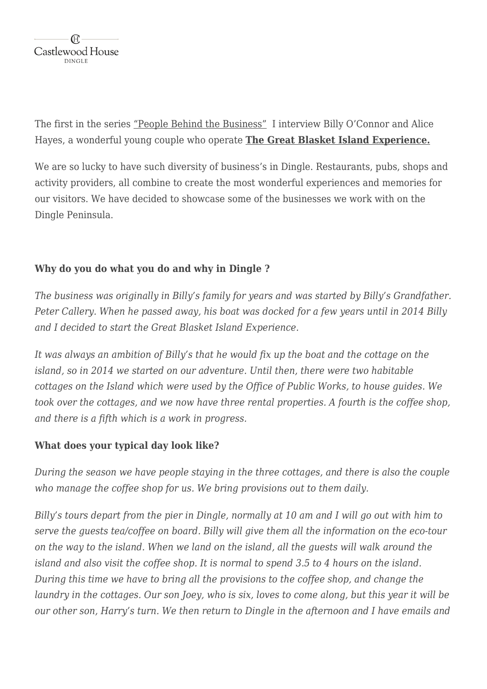

The first in the series "People Behind the Business" I interview Billy O'Connor and Alice Hayes, a wonderful young couple who operate **[The Great Blasket Island Experience.](https://www.greatblasketisland.net/)**

We are so lucky to have such diversity of business's in Dingle. Restaurants, pubs, shops and activity providers, all combine to create the most wonderful experiences and memories for our visitors. We have decided to showcase some of the businesses we work with on the Dingle Peninsula.

## **Why do you do what you do and why in Dingle ?**

*The business was originally in Billy's family for years and was started by Billy's Grandfather. Peter Callery. When he passed away, his boat was docked for a few years until in 2014 Billy and I decided to start the Great Blasket Island Experience.*

*It was always an ambition of Billy's that he would fix up the boat and the cottage on the island, so in 2014 we started on our adventure. Until then, there were two habitable cottages on the Island which were used by the Office of Public Works, to house guides. We took over the cottages, and we now have three rental properties. A fourth is the coffee shop, and there is a fifth which is a work in progress.*

#### **What does your typical day look like?**

*During the season we have people staying in the three cottages, and there is also the couple who manage the coffee shop for us. We bring provisions out to them daily.*

*Billy's tours depart from the pier in Dingle, normally at 10 am and I will go out with him to serve the guests tea/coffee on board. Billy will give them all the information on the eco-tour on the way to the island. When we land on the island, all the guests will walk around the island and also visit the coffee shop. It is normal to spend 3.5 to 4 hours on the island. During this time we have to bring all the provisions to the coffee shop, and change the laundry in the cottages. Our son Joey, who is six, loves to come along, but this year it will be our other son, Harry's turn. We then return to Dingle in the afternoon and I have emails and*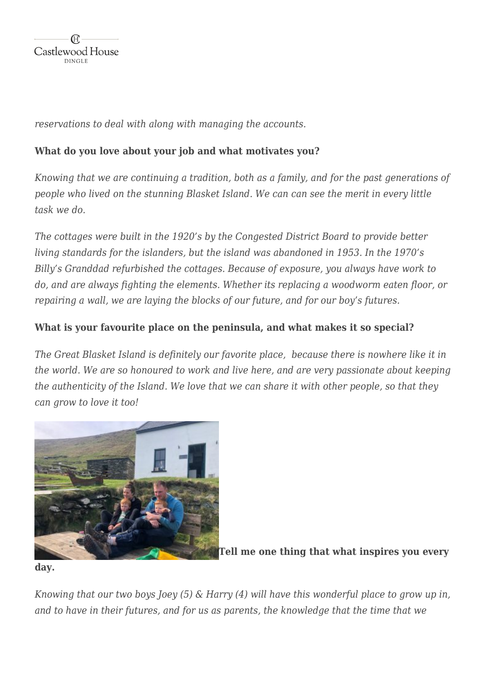

*reservations to deal with along with managing the accounts.*

# **What do you love about your job and what motivates you?**

*Knowing that we are continuing a tradition, both as a family, and for the past generations of people who lived on the stunning Blasket Island. We can can see the merit in every little task we do.*

*The cottages were built in the 1920's by the Congested District Board to provide better living standards for the islanders, but the island was abandoned in 1953. In the 1970's Billy's Granddad refurbished the cottages. Because of exposure, you always have work to do, and are always fighting the elements. Whether its replacing a woodworm eaten floor, or repairing a wall, we are laying the blocks of our future, and for our boy's futures.*

## **What is your favourite place on the peninsula, and what makes it so special?**

*The Great Blasket Island is definitely our favorite place, because there is nowhere like it in the world. We are so honoured to work and live here, and are very passionate about keeping the authenticity of the Island. We love that we can share it with other people, so that they can grow to love it too!*



**[T](https://www.castlewooddingle.com/wp-content/uploads/2020/05/Alice-Billy-Joey-and-Harry-The-Great-Blasket-Island-Experience.jpeg)ell me one thing that what inspires you every**

**day.**

*Knowing that our two boys Joey (5) & Harry (4) will have this wonderful place to grow up in, and to have in their futures, and for us as parents, the knowledge that the time that we*